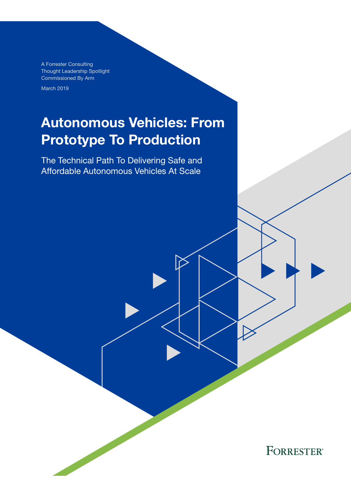A Forrester Consulting Thought Leadership Spotlight Commissioned By Arm

March 2019

# Autonomous Vehicles: From Prototype To Production

The Technical Path To Delivering Safe and Affordable Autonomous Vehicles At Scale

**FORRESTER®**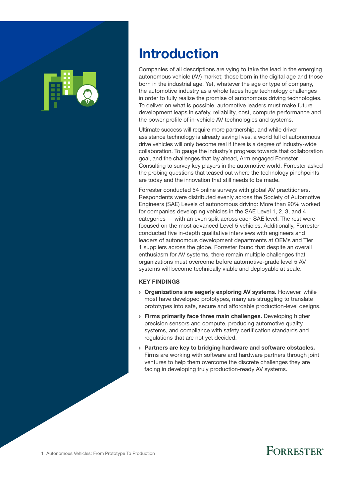

# Introduction

Companies of all descriptions are vying to take the lead in the emerging autonomous vehicle (AV) market; those born in the digital age and those born in the industrial age. Yet, whatever the age or type of company, the automotive industry as a whole faces huge technology challenges in order to fully realize the promise of autonomous driving technologies. To deliver on what is possible, automotive leaders must make future development leaps in safety, reliability, cost, compute performance and the power profle of in-vehicle AV technologies and systems.

Ultimate success will require more partnership, and while driver assistance technology is already saving lives, a world full of autonomous drive vehicles will only become real if there is a degree of industry-wide collaboration. To gauge the industry's progress towards that collaboration goal, and the challenges that lay ahead, Arm engaged Forrester Consulting to survey key players in the automotive world. Forrester asked the probing questions that teased out where the technology pinchpoints are today and the innovation that still needs to be made.

Forrester conducted 54 online surveys with global AV practitioners. Respondents were distributed evenly across the Society of Automotive Engineers (SAE) Levels of autonomous driving: More than 90% worked for companies developing vehicles in the SAE Level 1, 2, 3, and 4 categories — with an even split across each SAE level. The rest were focused on the most advanced Level 5 vehicles. Additionally, Forrester conducted five in-depth qualitative interviews with engineers and leaders of autonomous development departments at OEMs and Tier 1 suppliers across the globe. Forrester found that despite an overall enthusiasm for AV systems, there remain multiple challenges that organizations must overcome before automotive-grade level 5 AV systems will become technically viable and deployable at scale.

#### KEY FINDINGS

- › Organizations are eagerly exploring AV systems. However, while most have developed prototypes, many are struggling to translate prototypes into safe, secure and affordable production-level designs.
- › Firms primarily face three main challenges. Developing higher precision sensors and compute, producing automotive quality systems, and compliance with safety certification standards and regulations that are not yet decided.
- › Partners are key to bridging hardware and software obstacles. Firms are working with software and hardware partners through joint ventures to help them overcome the discrete challenges they are facing in developing truly production-ready AV systems.

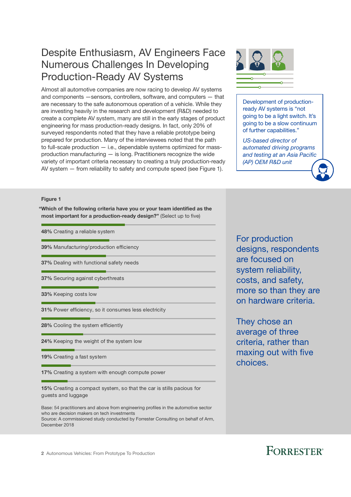### Despite Enthusiasm, AV Engineers Face Numerous Challenges In Developing Production-Ready AV Systems

Almost all automotive companies are now racing to develop AV systems and components —sensors, controllers, software, and computers — that are necessary to the safe autonomous operation of a vehicle. While they are investing heavily in the research and development (R&D) needed to create a complete AV system, many are still in the early stages of product engineering for mass production-ready designs. In fact, only 20% of surveyed respondents noted that they have a reliable prototype being prepared for production. Many of the interviewees noted that the path to full-scale production — i.e., dependable systems optimized for massproduction manufacturing — is long. Practitioners recognize the wide variety of important criteria necessary to creating a truly production-ready AV system — from reliability to safety and compute speed (see Figure 1).



Development of productionready AV systems is "not going to be a light switch. It's going to be a slow continuum of further capabilities."

 *US-based director of automated driving programs and testing at an Asia Pacific (AP) OEM R&D unit*

#### Figure 1

"Which of the following criteria have you or your team identified as the most important for a production-ready design?" (Select up to five)

48% Creating a reliable system

39% Manufacturing/production efficiency

37% Dealing with functional safety needs

37% Securing against cyberthreats

33% Keeping costs low

31% Power efficiency, so it consumes less electricity

28% Cooling the system efficiently

24% Keeping the weight of the system low

19% Creating a fast system

17% Creating a system with enough compute power

15% Creating a compact system, so that the car is stills pacious for guests and luggage

Base: 54 practitioners and above from engineering profles in the automotive sector who are decision makers on tech investments Source: A commissioned study conducted by Forrester Consulting on behalf of Arm, December 2018

For production designs, respondents are focused on system reliability, costs, and safety, more so than they are on hardware criteria.

They chose an average of three criteria, rather than maxing out with five choices.

2 Autonomous Vehicles: From Prototype To Production

## **FORRESTER®**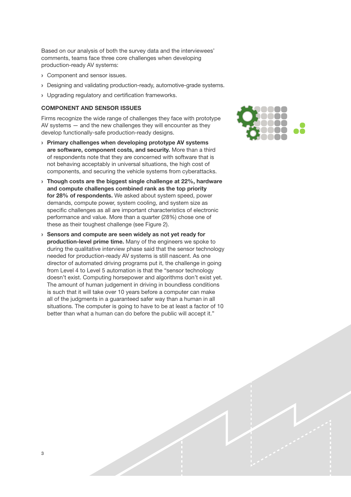Based on our analysis of both the survey data and the interviewees' comments, teams face three core challenges when developing production-ready AV systems:

- › Component and sensor issues.
- › Designing and validating production-ready, automotive-grade systems.
- › Upgrading regulatory and certifcation frameworks.

#### COMPONENT AND SENSOR ISSUES

Firms recognize the wide range of challenges they face with prototype AV systems — and the new challenges they will encounter as they develop functionally-safe production-ready designs.

- › Primary challenges when developing prototype AV systems are software, component costs, and security. More than a third of respondents note that they are concerned with software that is not behaving acceptably in universal situations, the high cost of components, and securing the vehicle systems from cyberattacks.
- › Though costs are the biggest single challenge at 22%, hardware and compute challenges combined rank as the top priority for 28% of respondents. We asked about system speed, power demands, compute power, system cooling, and system size as specific challenges as all are important characteristics of electronic performance and value. More than a quarter (28%) chose one of these as their toughest challenge (see Figure 2).
- › Sensors and compute are seen widely as not yet ready for production-level prime time. Many of the engineers we spoke to during the qualitative interview phase said that the sensor technology needed for production-ready AV systems is still nascent. As one director of automated driving programs put it, the challenge in going from Level 4 to Level 5 automation is that the "sensor technology doesn't exist. Computing horsepower and algorithms don't exist yet. The amount of human judgement in driving in boundless conditions is such that it will take over 10 years before a computer can make all of the judgments in a guaranteed safer way than a human in all situations. The computer is going to have to be at least a factor of 10 better than what a human can do before the public will accept it."

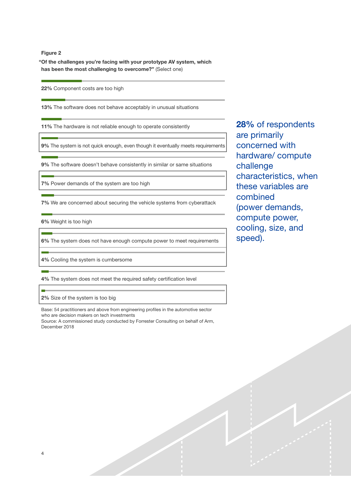Figure 2

"Of the challenges you're facing with your prototype AV system, which has been the most challenging to overcome?" (Select one)

22% Component costs are too high

13% The software does not behave acceptably in unusual situations

11% The hardware is not reliable enough to operate consistently

9% The system is not quick enough, even though it eventually meets requirements

9% The software doesn't behave consistently in similar or same situations

7% Power demands of the system are too high

7% We are concerned about securing the vehicle systems from cyberattack

6% Weight is too high

6% The system does not have enough compute power to meet requirements

4% Cooling the system is cumbersome

4% The system does not meet the required safety certification level

2% Size of the system is too big

Base: 54 practitioners and above from engineering profles in the automotive sector who are decision makers on tech investments Source: A commissioned study conducted by Forrester Consulting on behalf of Arm,

December 2018

28% of respondents are primarily concerned with hardware/ compute challenge characteristics, when these variables are combined (power demands, compute power, cooling, size, and speed).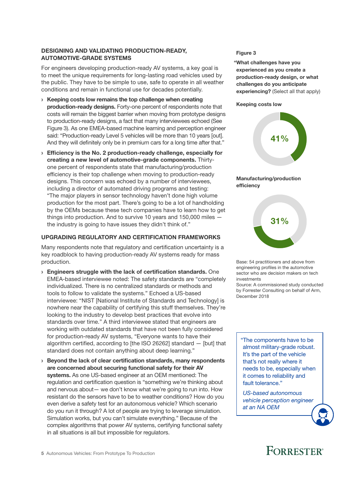#### DESIGNING AND VALIDATING PRODUCTION-READY, DESIGNING AND VALIDATING PRODUCTION-READT, Figure 3<br>AUTOMOTIVE-GRADE SYSTEMS

For engineers developing production-ready AV systems, a key goal is to meet the unique requirements for long-lasting road vehicles used by the public. They have to be simple to use, safe to operate in all weather conditions and remain in functional use for decades potentially.

- › Keeping costs low remains the top challenge when creating production-ready designs. Forty-one percent of respondents note that costs will remain the biggest barrier when moving from prototype designs to production-ready designs, a fact that many interviewees echoed (See Figure 3). As one EMEA-based machine learning and perception engineer said: "Production-ready Level 5 vehicles will be more than 10 years [out]. And they will definitely only be in premium cars for a long time after that."
- $\rightarrow$  Efficiency is the No. 2 production-ready challenge, especially for creating a new level of automotive-grade components. Thirtyone percent of respondents state that manufacturing/production efficiency is their top challenge when moving to production-ready designs. This concern was echoed by a number of interviewees, including a director of automated driving programs and testing: "The major players in sensor technology haven't done high volume production for the most part. There's going to be a lot of handholding by the OEMs because these tech companies have to learn how to get things into production. And to survive 10 years and 150,000 miles the industry is going to have issues they didn't think of."

### UPGRADING REGULATORY AND CERTIFICATION FRAMEWORKS

Many respondents note that regulatory and certification uncertainty is a key roadblock to having production-ready AV systems ready for mass production.

- › Engineers struggle with the lack of certification standards. One EMEA-based interviewee noted: The safety standards are "completely individualized. There is no centralized standards or methods and tools to follow to validate the systems." Echoed a US-based interviewee: "NIST [National Institute of Standards and Technology] is nowhere near the capability of certifying this stuff themselves. They're looking to the industry to develop best practices that evolve into standards over time." A third interviewee stated that engineers are working with outdated standards that have not been fully considered for production-ready AV systems, "Everyone wants to have their algorithm certifed, according to [the ISO 26262] standard — [but] that standard does not contain anything about deep learning."
- $\rightarrow$  Beyond the lack of clear certification standards, many respondents are concerned about securing functional safety for their AV systems. As one US-based engineer at an OEM mentioned: The regulation and certification question is "something we're thinking about and nervous about— we don't know what we're going to run into. How resistant do the sensors have to be to weather conditions? How do you even derive a safety test for an autonomous vehicle? Which scenario do you run it through? A lot of people are trying to leverage simulation. Simulation works, but you can't simulate everything." Because of the complex algorithms that power AV systems, certifying functional safety in all situations is all but impossible for regulators.

"What challenges have you experienced as you create a production-ready design, or what challenges do you anticipate experiencing? (Select all that apply)

#### Keeping costs low







Base: 54 practitioners and above from engineering profles in the automotive sector who are decision makers on tech investments

Source: A commissioned study conducted by Forrester Consulting on behalf of Arm, December 2018

"The components have to be almost military-grade robust. It's the part of the vehicle that's not really where it needs to be, especially when it comes to reliability and fault tolerance."

 *US-based autonomous vehicle perception engineer at an NA OEM*

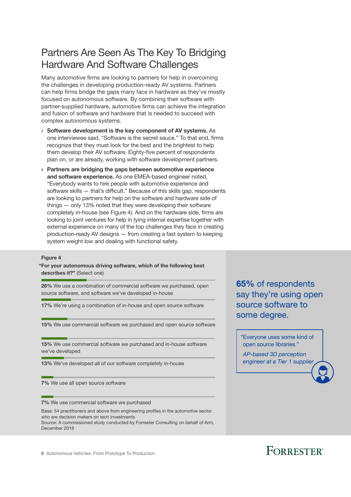### Partners Are Seen As The Key To Bridging Hardware And Software Challenges

Many automotive firms are looking to partners for help in overcoming the challenges in developing production-ready AV systems. Partners can help firms bridge the gaps many face in hardware as they've mostly focused on autonomous software. By combining their software with partner-supplied hardware, automotive firms can achieve the integration and fusion of software and hardware that is needed to succeed with complex autonomous systems.

- › Software development is the key component of AV systems. As one interviewee said, "Software is the secret sauce." To that end, frms recognize that they must look for the best and the brightest to help them develop their AV software. Eighty-five percent of respondents plan on, or are already, working with software development partners.
- › Partners are bridging the gaps between automotive experience and software experience. As one EMEA-based engineer noted, "Everybody wants to hire people with automotive experience and software skills  $-$  that's difficult." Because of this skills gap, respondents are looking to partners for help on the software and hardware side of things — only 13% noted that they were developing their software completely in-house (see Figure 4). And on the hardware side, firms are looking to joint ventures for help in tying internal expertise together with external experience on many of the top challenges they face in creating production-ready AV designs — from creating a fast system to keeping system weight low and dealing with functional safety.

#### Figure 4

"For your autonomous driving software, which of the following best describes it?" (Select one)

26% We use a combination of commercial software we purchased, open source software, and software we've developed in-house

17% We're using a combination of in-house and open source software

15% We use commercial software we purchased and open source software

15% We use commercial software we purchased and in-house software we've developed

13% We've developed all of our software completely in-house

7% We use all open source software

7% We use commercial software we purchased

Base: 54 practitioners and above from engineering profles in the automotive sector who are decision makers on tech investments

Source: A commissioned study conducted by Forrester Consulting on behalf of Arm, December 2018

6 Autonomous Vehicles: From Prototype To Production

65% of respondents say they're using open source software to some degree.

"Everyone uses some kind of open source libraries."

 *AP-based 3D perception engineer at a Tier 1 supplier*

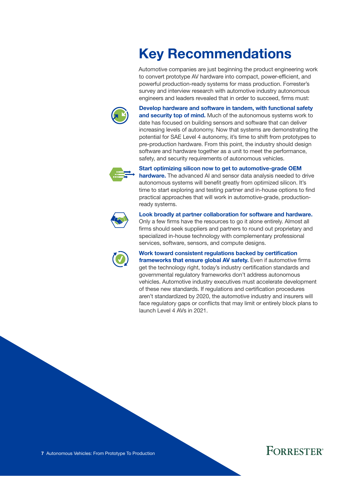# Key Recommendations

Automotive companies are just beginning the product engineering work to convert prototype AV hardware into compact, power-efficient, and powerful production-ready systems for mass production. Forrester's survey and interview research with automotive industry autonomous engineers and leaders revealed that in order to succeed, firms must:



Develop hardware and software in tandem, with functional safety and security top of mind. Much of the autonomous systems work to date has focused on building sensors and software that can deliver increasing levels of autonomy. Now that systems are demonstrating the potential for SAE Level 4 autonomy, it's time to shift from prototypes to pre-production hardware. From this point, the industry should design software and hardware together as a unit to meet the performance, safety, and security requirements of autonomous vehicles.



#### Start optimizing silicon now to get to automotive-grade OEM

hardware. The advanced AI and sensor data analysis needed to drive autonomous systems will benefit greatly from optimized silicon. It's time to start exploring and testing partner and in-house options to find practical approaches that will work in automotive-grade, productionready systems.



#### Look broadly at partner collaboration for software and hardware.

Only a few frms have the resources to go it alone entirely. Almost all firms should seek suppliers and partners to round out proprietary and specialized in-house technology with complementary professional services, software, sensors, and compute designs.



Work toward consistent regulations backed by certification frameworks that ensure global AV safety. Even if automotive firms get the technology right, today's industry certification standards and governmental regulatory frameworks don't address autonomous vehicles. Automotive industry executives must accelerate development of these new standards. If regulations and certifcation procedures aren't standardized by 2020, the automotive industry and insurers will face regulatory gaps or conficts that may limit or entirely block plans to launch Level 4 AVs in 2021.



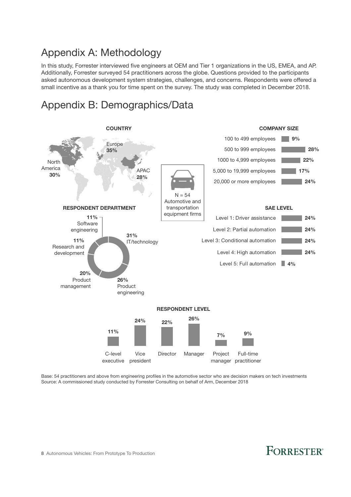### Appendix A: Methodology

In this study, Forrester interviewed five engineers at OEM and Tier 1 organizations in the US, EMEA, and AP. Additionally, Forrester surveyed 54 practitioners across the globe. Questions provided to the participants asked autonomous development system strategies, challenges, and concerns. Respondents were offered a small incentive as a thank you for time spent on the survey. The study was completed in December 2018.

### Appendix B: Demographics/Data



Base: 54 practitioners and above from engineering profles in the automotive sector who are decision makers on tech investments Source: A commissioned study conducted by Forrester Consulting on behalf of Arm, December 2018